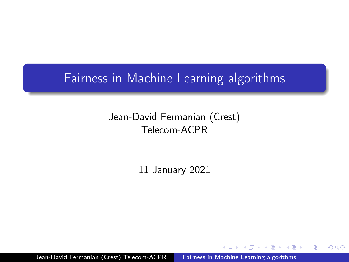## Fairness in Machine Learning algorithms

## Jean-David Fermanian (Crest) Telecom-ACPR

11 January 2021

Jean-David Fermanian (Crest) Telecom-ACPR Fairness in Machine Learning algorithms

 $\Omega$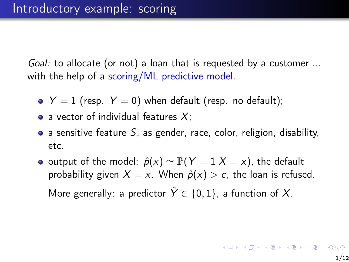Goal: to allocate (or not) a loan that is requested by a customer ... with the help of a scoring/ML predictive model.

- $Y = 1$  (resp.  $Y = 0$ ) when default (resp. no default);
- a vector of individual features  $X$ ;
- $\bullet$  a sensitive feature S, as gender, race, color, religion, disability, etc.
- o output of the model:  $\hat{p}(x) \simeq P(Y = 1 | X = x)$ , the default probability given  $X = x$ . When  $\hat{p}(x) > c$ , the loan is refused. More generally: a predictor  $\hat{Y} \in \{0, 1\}$ , a function of X.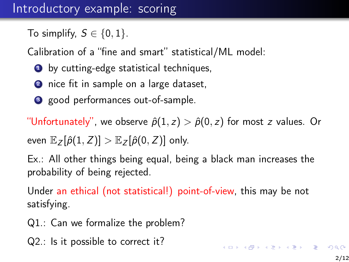## Introductory example: scoring

To simplify,  $S \in \{0, 1\}$ .

Calibration of a "fine and smart" statistical/ML model:

- **1** by cutting-edge statistical techniques,
- 2 nice fit in sample on a large dataset,
- <sup>3</sup> good performances out-of-sample.

"Unfortunately", we observe  $\hat{p}(1, z) > \hat{p}(0, z)$  for most z values. Or

even  $\mathbb{E}_{Z}[\hat{\rho}(1, Z)] > \mathbb{E}_{Z}[\hat{\rho}(0, Z)]$  only.

Ex.: All other things being equal, being a black man increases the probability of being rejected.

Under an ethical (not statistical!) point-of-view, this may be not satisfying.

- Q1.: Can we formalize the problem?
- Q2.: Is it possible to correct it?

**K ロ ▶ K 레 ▶ K 코 ▶ K 코 ▶ 『코』 ◆ 9 Q O ·**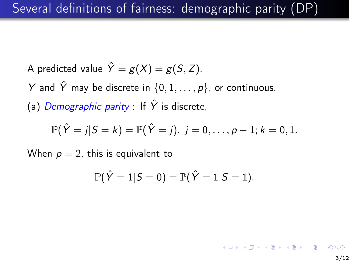- A predicted value  $\hat{Y} = g(X) = g(S, Z)$ .
- Y and  $\hat{Y}$  may be discrete in  $\{0, 1, \ldots, p\}$ , or continuous.

(a) Demographic parity : If  $\hat{Y}$  is discrete,

$$
\mathbb{P}(\hat{Y} = j | S = k) = \mathbb{P}(\hat{Y} = j), j = 0, \ldots, p - 1; k = 0, 1.
$$

When  $p = 2$ , this is equivalent to

$$
\mathbb{P}(\hat{Y}=1|S=0)=\mathbb{P}(\hat{Y}=1|S=1).
$$

 $(1 + 4)$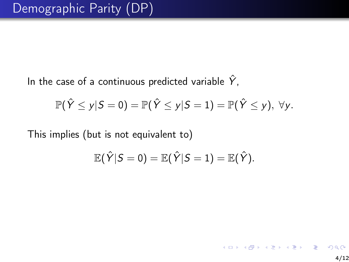In the case of a continuous predicted variable  $\hat{Y}$ ,

$$
\mathbb{P}(\hat{Y} \leq y | S = 0) = \mathbb{P}(\hat{Y} \leq y | S = 1) = \mathbb{P}(\hat{Y} \leq y), \ \forall y.
$$

This implies (but is not equivalent to)

$$
\mathbb{E}(\hat{Y}|S=0)=\mathbb{E}(\hat{Y}|S=1)=\mathbb{E}(\hat{Y}).
$$

イロト 不優 ト 不重 ト 不重 トー 重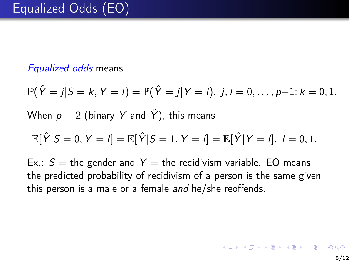## Equalized odds means

 $\mathbb{P}(\hat{Y} = j | S = k, Y = l) = \mathbb{P}(\hat{Y} = j | Y = l), j, l = 0, \ldots, p-1; k = 0, 1.$ 

When  $p = 2$  (binary Y and  $\hat{Y}$ ), this means

$$
\mathbb{E}[\hat{Y}|S=0,Y=I]=\mathbb{E}[\hat{Y}|S=1,Y=I]=\mathbb{E}[\hat{Y}|Y=I], I=0,1.
$$

Ex.:  $S =$  the gender and  $Y =$  the recidivism variable. EO means the predicted probability of recidivism of a person is the same given this person is a male or a female and he/she reoffends.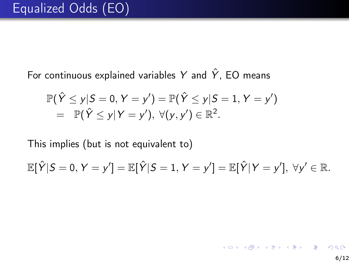For continuous explained variables Y and  $\hat{Y}$ , EO means

$$
\mathbb{P}(\hat{Y} \leq y | S = 0, Y = y') = \mathbb{P}(\hat{Y} \leq y | S = 1, Y = y') \n= \mathbb{P}(\hat{Y} \leq y | Y = y'), \ \forall (y, y') \in \mathbb{R}^2.
$$

This implies (but is not equivalent to)

$$
\mathbb{E}[\hat{Y}|S=0,Y=y'] = \mathbb{E}[\hat{Y}|S=1,Y=y'] = \mathbb{E}[\hat{Y}|Y=y'],\ \forall y'\in\mathbb{R}.
$$

イロト 不優 ト 不重 ト 不重 トー 重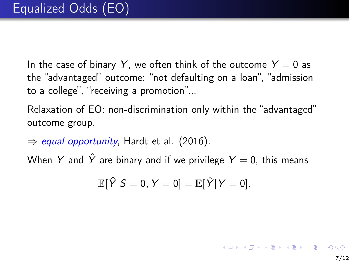In the case of binary Y, we often think of the outcome  $Y = 0$  as the "advantaged" outcome: "not defaulting on a loan", "admission to a college", "receiving a promotion"...

Relaxation of EO: non-discrimination only within the "advantaged" outcome group.

 $\Rightarrow$  equal opportunity, Hardt et al. (2016).

When Y and  $\hat{Y}$  are binary and if we privilege  $Y = 0$ , this means

$$
\mathbb{E}[\hat{Y}|S=0,Y=0]=\mathbb{E}[\hat{Y}|Y=0].
$$

K ロ ▶ K @ ▶ K 할 ▶ K 할 ▶ ( 할 )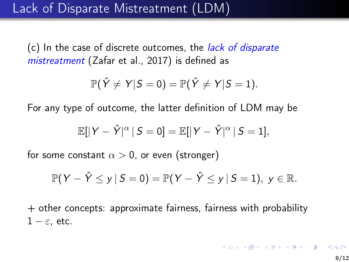(c) In the case of discrete outcomes, the lack of disparate mistreatment (Zafar et al., 2017) is defined as

$$
\mathbb{P}(\hat{Y} \neq Y | S=0) = \mathbb{P}(\hat{Y} \neq Y | S=1).
$$

For any type of outcome, the latter definition of LDM may be

$$
\mathbb{E}[|Y-\hat{Y}|^{\alpha}|S=0]=\mathbb{E}[|Y-\hat{Y}|^{\alpha}|S=1],
$$

for some constant  $\alpha > 0$ , or even (stronger)

$$
\mathbb{P}(Y - \hat{Y} \leq y \mid S = 0) = \mathbb{P}(Y - \hat{Y} \leq y \mid S = 1), y \in \mathbb{R}.
$$

+ other concepts: approximate fairness, fairness with probability  $1 - \varepsilon$ , etc.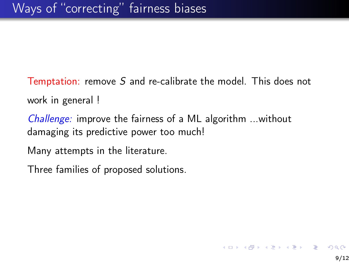Temptation: remove S and re-calibrate the model. This does not work in general !

Challenge: improve the fairness of a ML algorithm ...without damaging its predictive power too much!

Many attempts in the literature.

Three families of proposed solutions.

イロト 不優 ト 不重 ト 不重 トー 重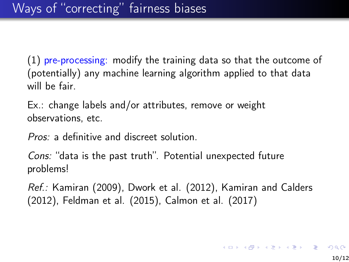(1) pre-processing: modify the training data so that the outcome of (potentially) any machine learning algorithm applied to that data will be fair.

Ex.: change labels and/or attributes, remove or weight observations, etc.

Pros: a definitive and discreet solution.

Cons: "data is the past truth". Potential unexpected future problems!

Ref.: Kamiran (2009), Dwork et al. (2012), Kamiran and Calders (2012), Feldman et al. (2015), Calmon et al. (2017)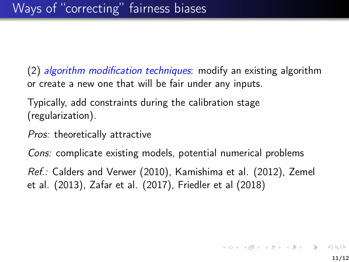(2) algorithm modification techniques: modify an existing algorithm or create a new one that will be fair under any inputs.

Typically, add constraints during the calibration stage (regularization).

Pros: theoretically attractive

Cons: complicate existing models, potential numerical problems

Ref.: Calders and Verwer (2010), Kamishima et al. (2012), Zemel et al. (2013), Zafar et al. (2017), Friedler et al (2018)